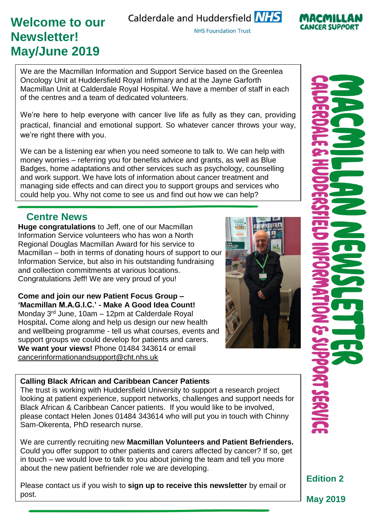# **Welcome to our Newsletter! May/June 2019**

Calderdale and Huddersfield NHS

**NHS Foundation Trust** 

We are the Macmillan Information and Support Service based on the Greenlea Oncology Unit at Huddersfield Royal Infirmary and at the Jayne Garforth Macmillan Unit at Calderdale Royal Hospital. We have a member of staff in each of the centres and a team of dedicated volunteers.

We're here to help everyone with cancer live life as fully as they can, providing practical, financial and emotional support. So whatever cancer throws your way, we're right there with you.

We can be a listening ear when you need someone to talk to. We can help with money worries – referring you for benefits advice and grants, as well as Blue Badges, home adaptations and other services such as psychology, counselling and work support. We have lots of information about cancer treatment and managing side effects and can direct you to support groups and services who could help you. Why not come to see us and find out how we can help?

### **Centre News**

**Huge congratulations** to Jeff, one of our Macmillan Information Service volunteers who has won a North Regional Douglas Macmillan Award for his service to Macmillan – both in terms of donating hours of support to our Information Service, but also in his outstanding fundraising and collection commitments at various locations. Congratulations Jeff! We are very proud of you!

**Come and join our new Patient Focus Group – 'Macmillan M.A.G.I.C.' - Make A Good Idea Count!** Monday 3<sup>rd</sup> June, 10am - 12pm at Calderdale Royal Hospital**.** Come along and help us design our new health and wellbeing programme - tell us what courses, events and support groups we could develop for patients and carers. **We want your views!** Phone 01484 343614 or email [cancerinformationandsupport@cht.nhs.uk](mailto:cancerinformationandsupport@cht.nhs.uk)



#### **Calling Black African and Caribbean Cancer Patients**

The trust is working with Huddersfield University to support a research project looking at patient experience, support networks, challenges and support needs for Black African & Caribbean Cancer patients. If you would like to be involved, please contact Helen Jones 01484 343614 who will put you in touch with Chinny Sam-Okerenta, PhD research nurse.

We are currently recruiting new **Macmillan Volunteers and Patient Befrienders.** Could you offer support to other patients and carers affected by cancer? If so, get in touch – we would love to talk to you about joining the team and tell you more about the new patient befriender role we are developing.

Please contact us if you wish to **sign up to receive this newsletter** by email or post.



CANCER SLIPPOR